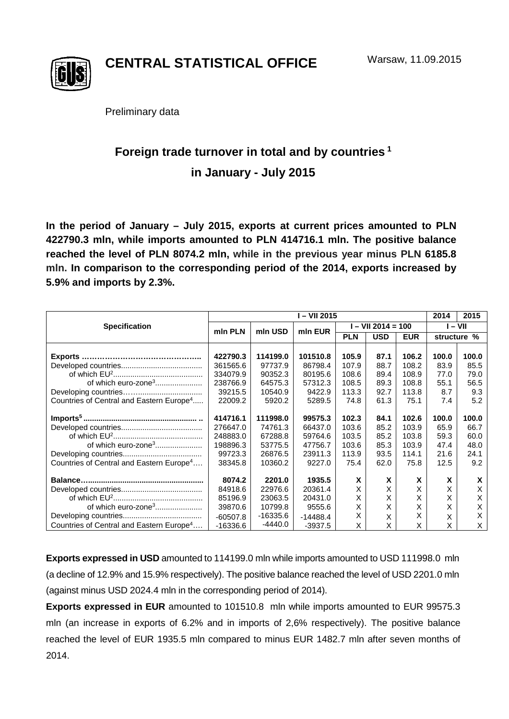

**CENTRAL STATISTICAL OFFICE**

Preliminary data

# **Foreign trade turnover in total and by countries <sup>1</sup> in January - July 2015**

**In the period of January – July 2015, exports at current prices amounted to PLN 422790.3 mln, while imports amounted to PLN 414716.1 mln. The positive balance reached the level of PLN 8074.2 mln, while in the previous year minus PLN 6185.8 mln. In comparison to the corresponding period of the 2014, exports increased by 5.9% and imports by 2.3%.**

|                                                      | I-VII 2015 |           |            |                      |            |            |           | 2015        |
|------------------------------------------------------|------------|-----------|------------|----------------------|------------|------------|-----------|-------------|
| <b>Specification</b>                                 | min PLN    | mln USD   | min EUR    | $I - VII 2014 = 100$ |            |            | $I - VII$ |             |
|                                                      |            |           |            | <b>PLN</b>           | <b>USD</b> | <b>EUR</b> |           | structure % |
|                                                      |            |           |            |                      |            |            |           |             |
| Exports                                              | 422790.3   | 114199.0  | 101510.8   | 105.9                | 87.1       | 106.2      | 100.0     | 100.0       |
|                                                      | 361565.6   | 97737.9   | 86798.4    | 107.9                | 88.7       | 108.2      | 83.9      | 85.5        |
|                                                      | 334079.9   | 90352.3   | 80195.6    | 108.6                | 89.4       | 108.9      | 77.0      | 79.0        |
| of which euro-zone <sup>3</sup>                      | 238766.9   | 64575.3   | 57312.3    | 108.5                | 89.3       | 108.8      | 55.1      | 56.5        |
|                                                      | 39215.5    | 10540.9   | 9422.9     | 113.3                | 92.7       | 113.8      | 8.7       | 9.3         |
| Countries of Central and Eastern Europe <sup>4</sup> | 22009.2    | 5920.2    | 5289.5     | 74.8                 | 61.3       | 75.1       | 7.4       | 5.2         |
|                                                      | 414716.1   | 111998.0  | 99575.3    | 102.3                | 84.1       | 102.6      | 100.0     | 100.0       |
|                                                      | 276647.0   | 74761.3   | 66437.0    | 103.6                | 85.2       | 103.9      | 65.9      | 66.7        |
|                                                      | 248883.0   | 67288.8   | 59764.6    | 103.5                | 85.2       | 103.8      | 59.3      | 60.0        |
| of which euro-zone <sup>3</sup>                      | 198896.3   | 53775.5   | 47756.7    | 103.6                | 85.3       | 103.9      | 47.4      | 48.0        |
|                                                      | 99723.3    | 26876.5   | 23911.3    | 113.9                | 93.5       | 114.1      | 21.6      | 24.1        |
| Countries of Central and Eastern Europe <sup>4</sup> | 38345.8    | 10360.2   | 9227.0     | 75.4                 | 62.0       | 75.8       | 12.5      | 9.2         |
|                                                      |            |           |            |                      |            |            |           |             |
|                                                      | 8074.2     | 2201.0    | 1935.5     | X                    | X          | X          | X         | X           |
|                                                      | 84918.6    | 22976.6   | 20361.4    | Χ                    | X          | X          | X         | X           |
|                                                      | 85196.9    | 23063.5   | 20431.0    | Χ                    | X          | Χ          | Χ         | X           |
| of which euro-zone <sup>3</sup>                      | 39870.6    | 10799.8   | 9555.6     | Χ                    | X          | X          | X         | Χ           |
|                                                      | $-60507.8$ | -16335.6  | $-14488.4$ | Χ                    | X          | X          | X         | X           |
| Countries of Central and Eastern Europe <sup>4</sup> | $-16336.6$ | $-4440.0$ | $-3937.5$  | Χ                    | X          | X          | x         | X           |

**Exports expressed in USD** amounted to 114199.0 mln while imports amounted to USD 111998.0 mln (a decline of 12.9% and 15.9% respectively). The positive balance reached the level of USD 2201.0 mln (against minus USD 2024.4 mln in the corresponding period of 2014).

**Exports expressed in EUR** amounted to 101510.8 mln while imports amounted to EUR 99575.3 mln (an increase in exports of 6.2% and in imports of 2,6% respectively). The positive balance reached the level of EUR 1935.5 mln compared to minus EUR 1482.7 mln after seven months of 2014.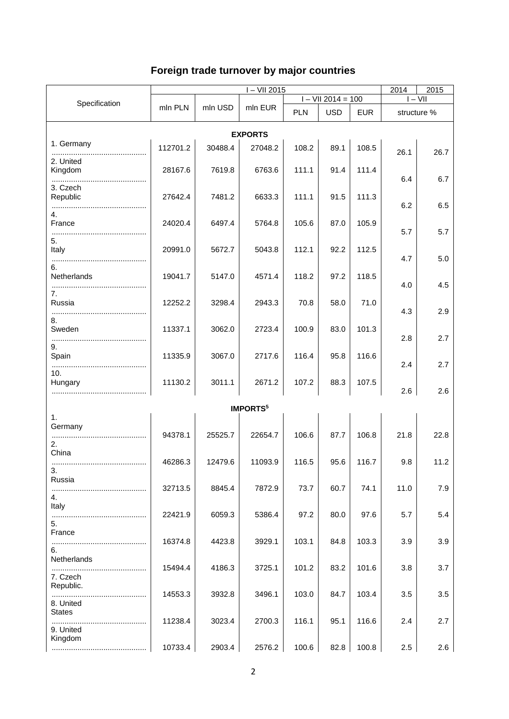## **Foreign trade turnover by major countries**

|                                       | $I - VII 2015$ |         |                 |       |                      |            | 2014<br>2015 |             |  |  |
|---------------------------------------|----------------|---------|-----------------|-------|----------------------|------------|--------------|-------------|--|--|
|                                       |                |         |                 |       | $I - VII 2014 = 100$ |            |              | $I - VII$   |  |  |
| Specification                         | mln PLN        | mln USD | mln EUR         | PLN   | <b>USD</b>           | <b>EUR</b> |              | structure % |  |  |
| <b>EXPORTS</b>                        |                |         |                 |       |                      |            |              |             |  |  |
| 1. Germany                            | 112701.2       | 30488.4 | 27048.2         | 108.2 | 89.1                 | 108.5      | 26.1         | 26.7        |  |  |
| 2. United<br>Kingdom<br>              | 28167.6        | 7619.8  | 6763.6          | 111.1 | 91.4                 | 111.4      | 6.4          | 6.7         |  |  |
| 3. Czech<br>Republic                  | 27642.4        | 7481.2  | 6633.3          | 111.1 | 91.5                 | 111.3      | 6.2          | 6.5         |  |  |
| 4.<br>France                          | 24020.4        | 6497.4  | 5764.8          | 105.6 | 87.0                 | 105.9      | 5.7          | 5.7         |  |  |
| 5.<br>Italy                           | 20991.0        | 5672.7  | 5043.8          | 112.1 | 92.2                 | 112.5      | 4.7          | 5.0         |  |  |
| 6.<br>Netherlands                     | 19041.7        | 5147.0  | 4571.4          | 118.2 | 97.2                 | 118.5      | 4.0          | 4.5         |  |  |
| 7.<br>Russia<br>8.                    | 12252.2        | 3298.4  | 2943.3          | 70.8  | 58.0                 | 71.0       | 4.3          | 2.9         |  |  |
| Sweden<br>9.                          | 11337.1        | 3062.0  | 2723.4          | 100.9 | 83.0                 | 101.3      | 2.8          | 2.7         |  |  |
| Spain<br>10.                          | 11335.9        | 3067.0  | 2717.6          | 116.4 | 95.8                 | 116.6      | 2.4          | 2.7         |  |  |
| Hungary                               | 11130.2        | 3011.1  | 2671.2          | 107.2 | 88.3                 | 107.5      | 2.6          | 2.6         |  |  |
|                                       |                |         | <b>IMPORTS5</b> |       |                      |            |              |             |  |  |
| 1.<br>Germany<br>2.                   | 94378.1        | 25525.7 | 22654.7         | 106.6 | 87.7                 | 106.8      | 21.8         | 22.8        |  |  |
| China<br>3.                           | 46286.3        | 12479.6 | 11093.9         | 116.5 | 95.6                 | 116.7      | 9.8          | 11.2        |  |  |
| Russia<br>4.                          | 32713.5        | 8845.4  | 7872.9          | 73.7  | 60.7                 | 74.1       | 11.0         | 7.9         |  |  |
| Italy<br>5.                           | 22421.9        | 6059.3  | 5386.4          | 97.2  | 80.0                 | 97.6       | 5.7          | 5.4         |  |  |
| France<br>6.                          | 16374.8        | 4423.8  | 3929.1          | 103.1 | 84.8                 | 103.3      | 3.9          | 3.9         |  |  |
| Netherlands<br>7. Czech               | 15494.4        | 4186.3  | 3725.1          | 101.2 | 83.2                 | 101.6      | 3.8          | 3.7         |  |  |
| Republic.<br><br>8. United            | 14553.3        | 3932.8  | 3496.1          | 103.0 | 84.7                 | 103.4      | 3.5          | 3.5         |  |  |
| <b>States</b><br>9. United<br>Kingdom | 11238.4        | 3023.4  | 2700.3          | 116.1 | 95.1                 | 116.6      | 2.4          | 2.7         |  |  |
|                                       | 10733.4        | 2903.4  | 2576.2          | 100.6 | 82.8                 | 100.8      | 2.5          | 2.6         |  |  |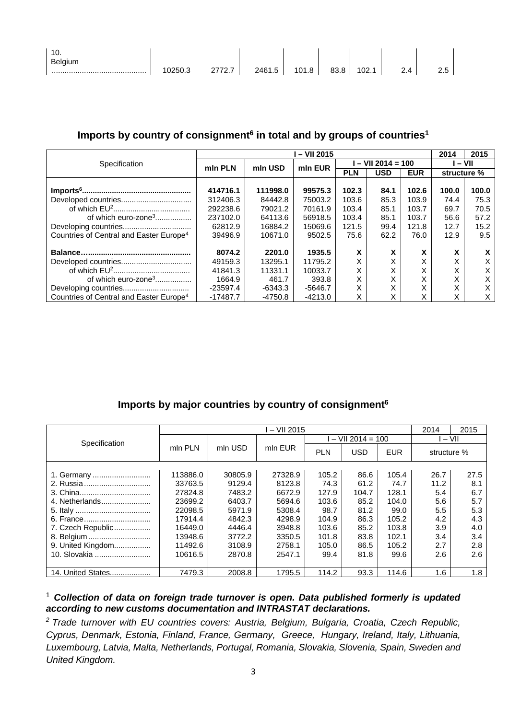| $\overline{16}$<br>ı v.<br><b>Belgium</b> |            |        |                      |       |            |             |         |         |
|-------------------------------------------|------------|--------|----------------------|-------|------------|-------------|---------|---------|
|                                           | 250.3<br>ັ | $\sim$ | 2461<br>-<br>27U<br> | 101.8 | 00<br>ου.ο | ∩∩ ו<br>uz. | <u></u> | <u></u> |

### Imports by country of consignment<sup>6</sup> in total and by groups of countries<sup>1</sup>

|                                                     |            | – VII 2015 |           |            |                    |                        |             |       |  |
|-----------------------------------------------------|------------|------------|-----------|------------|--------------------|------------------------|-------------|-------|--|
| Specification                                       | mln PLN    | mln USD    | mln EUR   |            | $-$ VII 2014 = 100 | $-$ VII                |             |       |  |
|                                                     |            |            |           | <b>PLN</b> | <b>USD</b>         | <b>EUR</b>             | structure % |       |  |
|                                                     |            |            |           |            |                    |                        |             |       |  |
|                                                     | 414716.1   | 111998.0   | 99575.3   | 102.3      | 84.1               | 102.6                  | 100.0       | 100.0 |  |
|                                                     | 312406.3   | 84442.8    | 75003.2   | 103.6      | 85.3               | 103.9                  | 74.4        | 75.3  |  |
|                                                     | 292238.6   | 79021.2    | 70161.9   | 103.4      | 85.1               | 103.7                  | 69.7        | 70.5  |  |
| of which euro-zone <sup>3</sup>                     | 237102.0   | 64113.6    | 56918.5   | 103.4      | 85.1               | 103.7                  | 56.6        | 57.2  |  |
|                                                     | 62812.9    | 16884.2    | 15069.6   | 121.5      | 99.4               | 121.8                  | 12.7        | 15.2  |  |
| Countries of Central and Easter Europe <sup>4</sup> | 39496.9    | 10671.0    | 9502.5    | 75.6       | 62.2               | 76.0                   | 12.9        | 9.5   |  |
|                                                     |            |            |           |            |                    |                        |             |       |  |
|                                                     | 8074.2     | 2201.0     | 1935.5    | X          | X                  | v<br>$\bm{\lambda}$    | x           | x     |  |
|                                                     | 49159.3    | 13295.1    | 11795.2   | X          | X                  | $\checkmark$<br>$\sim$ | v<br>⋏      | x     |  |
|                                                     | 41841.3    | 11331.1    | 10033.7   | X          | X                  | Χ                      | X           | X     |  |
| of which euro-zone <sup>3</sup>                     | 1664.9     | 461.7      | 393.8     | X          | X                  | X                      | X           | x     |  |
|                                                     | $-23597.4$ | -6343.3    | -5646.7   | Х          | X                  | v                      | v<br>∧      | x     |  |
| Countries of Central and Easter Europe <sup>4</sup> | $-17487.7$ | -4750.8    | $-4213.0$ | x          | X                  |                        | $\check{ }$ | X     |  |

### **Imports by major countries by country of consignment6**

|                   |                    |         | 2014       | 2015       |                    |             |      |      |
|-------------------|--------------------|---------|------------|------------|--------------------|-------------|------|------|
| Specification     | mln PLN<br>mln USD |         |            |            | l – VII 2014 = 100 | $-$ VII     |      |      |
|                   |                    | mln EUR | <b>PLN</b> | <b>USD</b> | <b>EUR</b>         | structure % |      |      |
|                   |                    |         |            |            |                    |             |      |      |
| 1. Germany        | 113886.0           | 30805.9 | 27328.9    | 105.2      | 86.6               | 105.4       | 26.7 | 27.5 |
| 2. Russia         | 33763.5            | 9129.4  | 8123.8     | 74.3       | 61.2               | 74.7        | 11.2 | 8.1  |
|                   | 27824.8            | 7483.2  | 6672.9     | 127.9      | 104.7              | 128.1       | 5.4  | 6.7  |
| 4. Netherlands    | 23699.2            | 6403.7  | 5694.6     | 103.6      | 85.2               | 104.0       | 5.6  | 5.7  |
|                   | 22098.5            | 5971.9  | 5308.4     | 98.7       | 81.2               | 99.0        | 5.5  | 5.3  |
|                   | 17914.4            | 4842.3  | 4298.9     | 104.9      | 86.3               | 105.2       | 4.2  | 4.3  |
| 7. Czech Republic | 16449.0            | 4446.4  | 3948.8     | 103.6      | 85.2               | 103.8       | 3.9  | 4.0  |
| 8. Belgium        | 13948.6            | 3772.2  | 3350.5     | 101.8      | 83.8               | 102.1       | 3.4  | 3.4  |
| 9. United Kingdom | 11492.6            | 3108.9  | 2758.1     | 105.0      | 86.5               | 105.2       | 2.7  | 2.8  |
| 10. Slovakia      | 10616.5            | 2870.8  | 2547.1     | 99.4       | 81.8               | 99.6        | 2.6  | 2.6  |
|                   |                    |         |            |            |                    |             |      |      |
| 14. United States | 7479.3             | 2008.8  | 1795.5     | 114.2      | 93.3               | 114.6       | 1.6  | 1.8  |

#### <sup>1</sup> *Collection of data on foreign trade turnover is open. Data published formerly is updated according to new customs documentation and INTRASTAT declarations.*

*2 Trade turnover with EU countries covers: Austria, Belgium, Bulgaria, Croatia, Czech Republic, Cyprus, Denmark, Estonia, Finland, France, Germany, Greece, Hungary, Ireland, Italy, Lithuania, Luxembourg, Latvia, Malta, Netherlands, Portugal, Romania, Slovakia, Slovenia, Spain, Sweden and United Kingdom.*